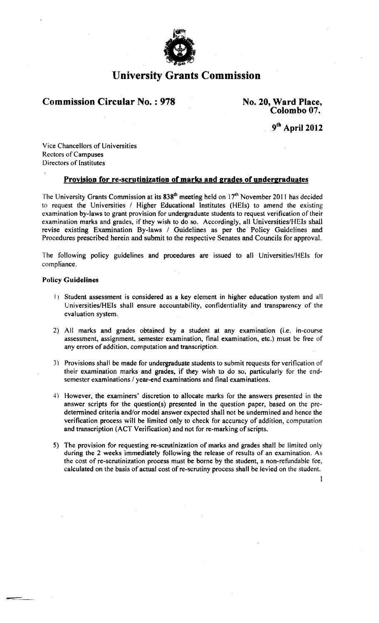

# **University Grants Commission**

# **Commission Circular No. : 978** No. 20, Ward Place,

# **Colombo** 07.

9th **April 2012** 

Vice Chancellors of Universities Rectors of Campuses Directors of Institutes

# Provision for re-scrutinization of marks and grades of undergraduates

The University Grants Commission at its 838<sup>th</sup> meeting held on 17<sup>th</sup> November 2011 has decided to request the Universities / Higher Educational Institutes (HEls) to amend the existing examination by-laws to grant provision for undergraduate students to request verification of their examination marks and grades, if they wish to do so. Accordingly, all Universities/HEIs shall revise existing Examination By-laws / Guidelines as per the· Policy Guidelines and Procedures prescribed herein and submit to the respective Senates and Councils for approval.

The following policy guidelines and procedures are issued to all Universities/HEls for compliance.

### Policy Guidelines

- I) Student assessment is considered as a key element in higher education system and all Universities/HEIs shall ensure accountability, confidentiality and transparency of the evaluation system.
- 2) All marks and grades obtained by a student at any examination (i.e. in-course assessment, assignment. semester examination, final examination, etc.) must be free of any errors of addition. computation and transcription.
- 3) Provisions shall be made for undergraduate students to submit requests for verification of their examination marks and grades. if they wish to do so, particularly for the endsemester examinations / year-end examinations and final examinations.
- 4) However, the examiners' discretion to allocate marks for the answers presented in the answer scripts for the question(s) presented in the question paper. based on the predetermined criteria and/or model answer expected shall not be undermined and hence the verification process will be limited only to check for accuracy of addition, computation and transcription (ACT Verification) and not for re-marking of scripts.
- 5) The provision for requesting re-scrutinization of marks and grades shall be limited only during the 2 weeks immediately following the release of results of an examination. As the cost of re-scrutinization process must be borne by the student. a non-refundable fee, calculated on the basis of actual cost of re-scrutiny process shall be levied on the student.

1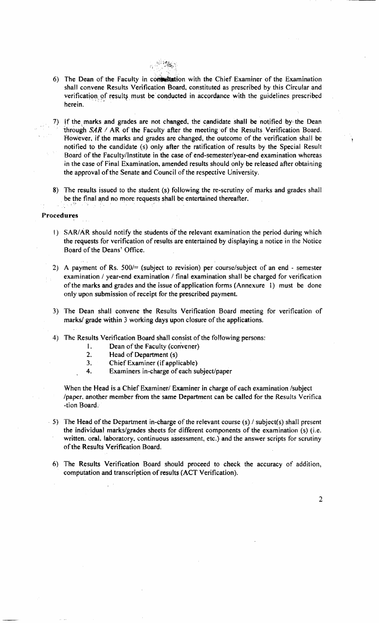

- 6) The Dean of the Faculty in consultation with the Chief Examiner of the Examination shall convene Results Verification Board, constituted as prescribed by this Circular and verification of results must be conducted in accordance with the guidelines prescribed herein.
- 7) If the marks and grades are not changed, the candidate shall be notified by the Dean through  $SAR / AR$  of the Faculty after the meeting of the Results Verification Board. However. if the marks and grades are changed, the outcome of the verification shall be notitied to the candidate (s) only after the ratification of results by the Special Result Board of the Faculty/Institute in the case of end-semester/year-end examination whereas in the case of Final Examination, amended results should only be released after obtaining the approval of the Senate and Council of the respective University.
- 8) The results issued to the student (s) following the re-scrutiny of marks and grades shall be the final and no more requests shall be entertained thereafter.

#### Procedures

- I) SAR/AR should notify the students of the relevant examination the period during which the requests for verification of results are entertained by displaying a notice in the Notice Board of the Deans' Office.
- 2) A payment of Rs. *500/=* (subject to revision) per course/subject of an end semester examination  $\ell$  year-end examination  $\ell$  final examination shall be charged for verification of the marks and grades and the issue of application forms (Annexure 1) must be done only upon submission of receipt for the prescribed payment.
- 3) The Dean shall convene the Results Verification Board meeting for verification of marks/ grade within 3 working days upon closure of the applications.
- 4) The Results Verification Board shall consist of the following persons:
	- 1. Dean of the Faculty (convener)
	- 2. Head of Department (s)
	- 3. Chief Examiner (if applicable)
	- 4. Examiners in-charge of each subject/paper

When the Head is a Chief Examiner/ Examiner in charge of each examination /subject Ipaper. another member from the same Department can be called for the Results Verifiea -tion Board, .

- $\cdot$  5) The Head of the Department in-charge of the relevant course (s) / subject(s) shall present the individual marks/grades sheets for different components of the examination (s) (i.e. written. oral. laboratory. continuous assessment, etc.) and the answer scripts for scrutiny ofthe Results Verification Board.
- 6) The Results Verification Board should proceed to check the accuracy of addition, computation and transcription of results (ACT Verification).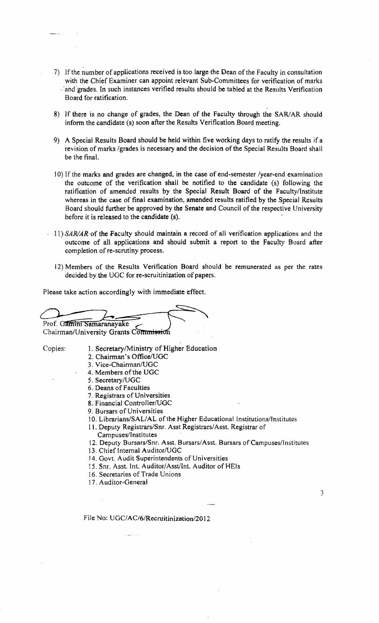- · 7) Ifthe number of applications received is too large the Dean ofthe Faculty in consultation with the Chief Examiner can appoint relevant Sub-Committees for verification of marks ·~·and 'grade'S. In such instances verified results should be tabled at the Results Verification Board for ratification.
- 8) If there is no change of grades, the Dean of the Faculty through the SAR/AR should inform the candidate (s) soon after the Results Verification Board meeting.
- 9) A Special Results Board should be held within five working days to ratify the results if a revision of marks /grades is necessary and the decision of the Special Results Board shall be the final.
- ] 0) If the marks and grades are changed, in the case of end-semester /year-end examination the outcome of the verification shall be notified to the candidate (s) following the ratification of amended results by the Special Result Board of the Faculty/Institute whereas in the case of final examination, amended results ratified by the Special Results Board should further be approved by the Senate and Council of the respective University before it is released to the candidate (8).
- $11)$  SAR/AR of the Faculty should maintain a record of all verification applications and the outcome of all applications and should submit a report to the Faculty Board after completion of re-scrutiny process.
	- 12) Members of the Results Verification Board should be remunerated as per the rates decided by the UGC for re-scruitinization of papers.

Please take action accordingly with immediate effect.

Prof. Gamini Samaranayake

Chairman/University Grants Commission

- Copies: 1. Secretary/Ministry of Higher Education
	- 2. Chairman's Office/UGC
	- 3. Vice-Chairman/UGC
	- 4. Members of the UGC
	- 5. Secretary/UGC
	- 6, Deans of Faculties
	- 7, Registrars of Universities
	- 8. Financial Controller/UGC
	- 9. Bursars of Universities
	- 10. Librarians/SAL/AL of the Higher Educational Institutions/Institutes
	- 11. Deputy Registrars/Snr. Asst Registrars/Asst. Registrar of
		- Campuses/Institutes
	- 12. Deputy Bursars/Snr. Asst. Bursars/Asst. Bursars of Campuses/Institutes

3

- 13. Chief Internal Auditor/UGC
- 14. Govt. Audit Superintendents of Universities
- 15. Snr. Asst. Int. Auditor/Asst/Int. Auditor of HEIs
- 16. Secretaries of Trade Unions
- 17. Auditor~General

File No: UGC/AC/6/Recruitinization/2012